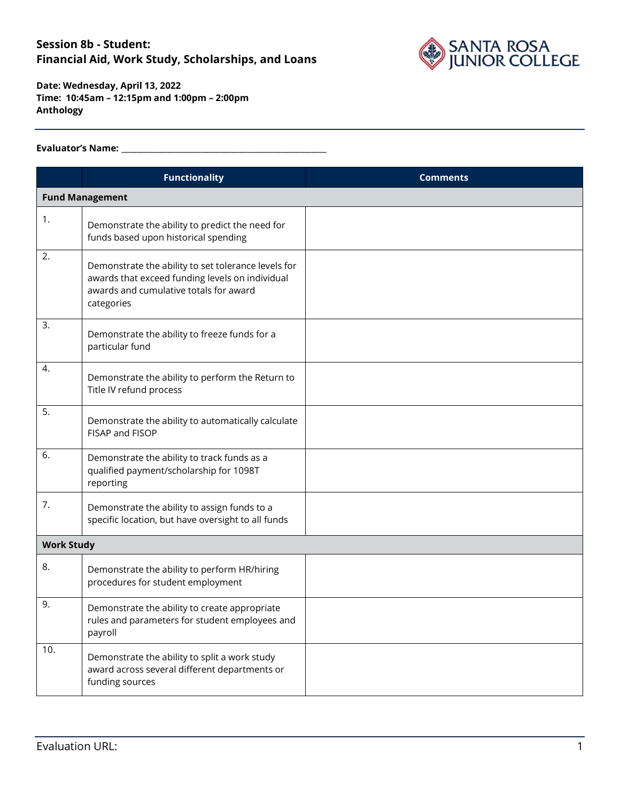

**Date: Wednesday, April 13, 2022 Time: 10:45am – 12:15pm and 1:00pm – 2:00pm Anthology**

#### **Evaluator's Name: \_\_\_\_\_\_\_\_\_\_\_\_\_\_\_\_\_\_\_\_\_\_\_\_\_\_\_\_\_\_\_\_\_\_\_\_\_\_\_\_\_\_\_\_\_\_\_\_\_\_\_\_\_\_**

|                   | <b>Functionality</b>                                                                                                                                           | <b>Comments</b> |  |
|-------------------|----------------------------------------------------------------------------------------------------------------------------------------------------------------|-----------------|--|
|                   | <b>Fund Management</b>                                                                                                                                         |                 |  |
| 1.                | Demonstrate the ability to predict the need for<br>funds based upon historical spending                                                                        |                 |  |
| 2.                | Demonstrate the ability to set tolerance levels for<br>awards that exceed funding levels on individual<br>awards and cumulative totals for award<br>categories |                 |  |
| 3.                | Demonstrate the ability to freeze funds for a<br>particular fund                                                                                               |                 |  |
| 4.                | Demonstrate the ability to perform the Return to<br>Title IV refund process                                                                                    |                 |  |
| 5.                | Demonstrate the ability to automatically calculate<br>FISAP and FISOP                                                                                          |                 |  |
| 6.                | Demonstrate the ability to track funds as a<br>qualified payment/scholarship for 1098T<br>reporting                                                            |                 |  |
| 7.                | Demonstrate the ability to assign funds to a<br>specific location, but have oversight to all funds                                                             |                 |  |
| <b>Work Study</b> |                                                                                                                                                                |                 |  |
| 8.                | Demonstrate the ability to perform HR/hiring<br>procedures for student employment                                                                              |                 |  |
| 9.                | Demonstrate the ability to create appropriate<br>rules and parameters for student employees and<br>payroll                                                     |                 |  |
| 10.               | Demonstrate the ability to split a work study<br>award across several different departments or<br>funding sources                                              |                 |  |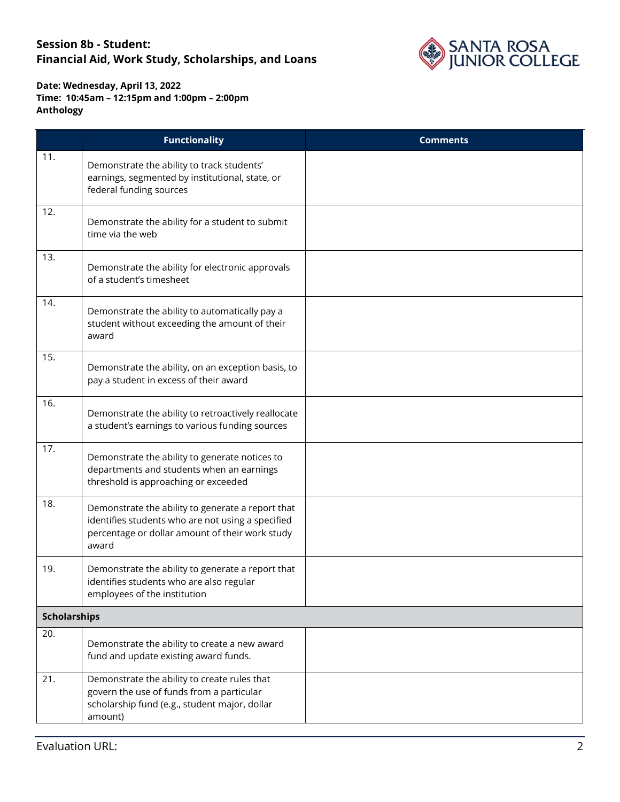

|                     | <b>Functionality</b>                                                                                                                                               | <b>Comments</b> |
|---------------------|--------------------------------------------------------------------------------------------------------------------------------------------------------------------|-----------------|
| 11.                 | Demonstrate the ability to track students'<br>earnings, segmented by institutional, state, or<br>federal funding sources                                           |                 |
| 12.                 | Demonstrate the ability for a student to submit<br>time via the web                                                                                                |                 |
| 13.                 | Demonstrate the ability for electronic approvals<br>of a student's timesheet                                                                                       |                 |
| 14.                 | Demonstrate the ability to automatically pay a<br>student without exceeding the amount of their<br>award                                                           |                 |
| 15.                 | Demonstrate the ability, on an exception basis, to<br>pay a student in excess of their award                                                                       |                 |
| 16.                 | Demonstrate the ability to retroactively reallocate<br>a student's earnings to various funding sources                                                             |                 |
| 17.                 | Demonstrate the ability to generate notices to<br>departments and students when an earnings<br>threshold is approaching or exceeded                                |                 |
| 18.                 | Demonstrate the ability to generate a report that<br>identifies students who are not using a specified<br>percentage or dollar amount of their work study<br>award |                 |
| 19.                 | Demonstrate the ability to generate a report that<br>identifies students who are also regular<br>employees of the institution                                      |                 |
| <b>Scholarships</b> |                                                                                                                                                                    |                 |
| 20.                 | Demonstrate the ability to create a new award<br>fund and update existing award funds.                                                                             |                 |
| 21.                 | Demonstrate the ability to create rules that<br>govern the use of funds from a particular<br>scholarship fund (e.g., student major, dollar<br>amount)              |                 |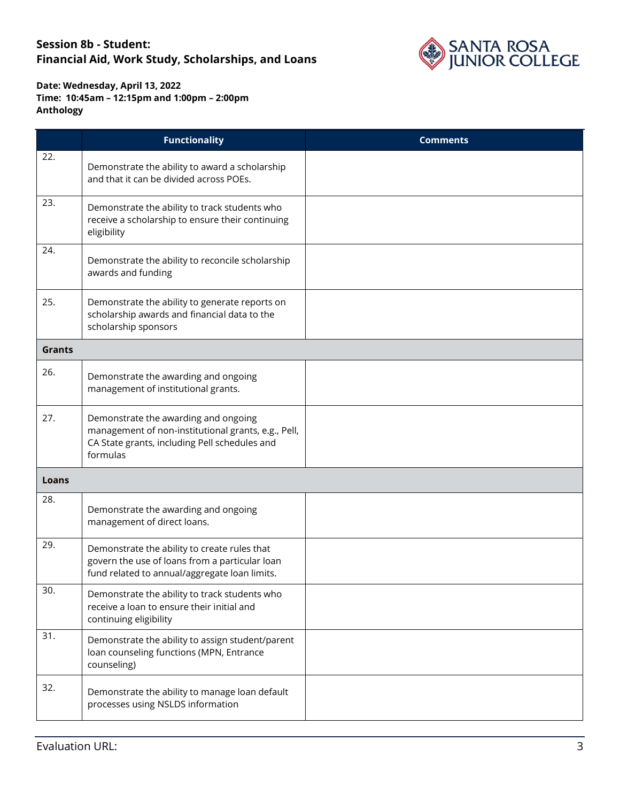

|               | <b>Functionality</b>                                                                                                                                     | <b>Comments</b> |
|---------------|----------------------------------------------------------------------------------------------------------------------------------------------------------|-----------------|
| 22.           | Demonstrate the ability to award a scholarship<br>and that it can be divided across POEs.                                                                |                 |
| 23.           | Demonstrate the ability to track students who<br>receive a scholarship to ensure their continuing<br>eligibility                                         |                 |
| 24.           | Demonstrate the ability to reconcile scholarship<br>awards and funding                                                                                   |                 |
| 25.           | Demonstrate the ability to generate reports on<br>scholarship awards and financial data to the<br>scholarship sponsors                                   |                 |
| <b>Grants</b> |                                                                                                                                                          |                 |
| 26.           | Demonstrate the awarding and ongoing<br>management of institutional grants.                                                                              |                 |
| 27.           | Demonstrate the awarding and ongoing<br>management of non-institutional grants, e.g., Pell,<br>CA State grants, including Pell schedules and<br>formulas |                 |
| Loans         |                                                                                                                                                          |                 |
| 28.           | Demonstrate the awarding and ongoing<br>management of direct loans.                                                                                      |                 |
| 29.           | Demonstrate the ability to create rules that<br>govern the use of loans from a particular loan<br>fund related to annual/aggregate loan limits.          |                 |
| 30.           | Demonstrate the ability to track students who<br>receive a loan to ensure their initial and<br>continuing eligibility                                    |                 |
| 31.           | Demonstrate the ability to assign student/parent<br>loan counseling functions (MPN, Entrance<br>counseling)                                              |                 |
| 32.           | Demonstrate the ability to manage loan default<br>processes using NSLDS information                                                                      |                 |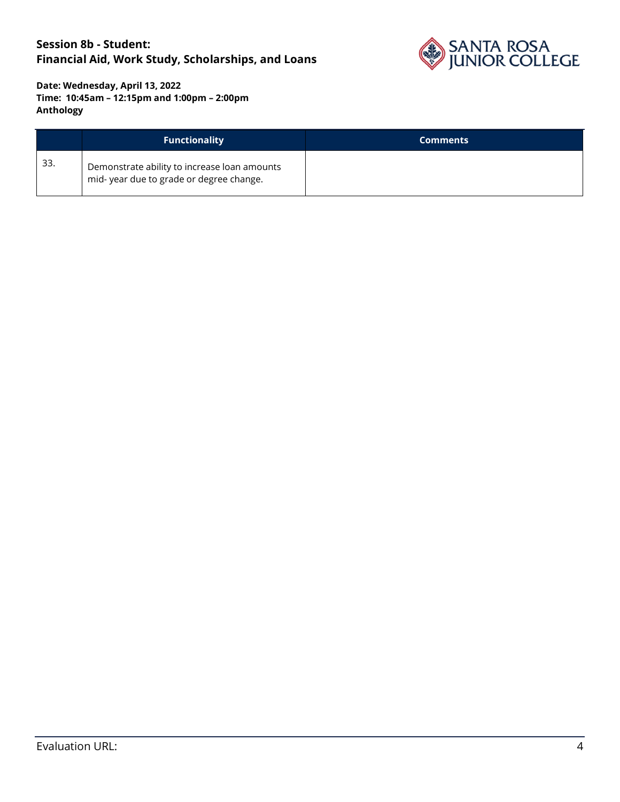

|     | <b>Functionality</b>                                                                    | <b>Comments</b> |
|-----|-----------------------------------------------------------------------------------------|-----------------|
| 33. | Demonstrate ability to increase loan amounts<br>mid-year due to grade or degree change. |                 |